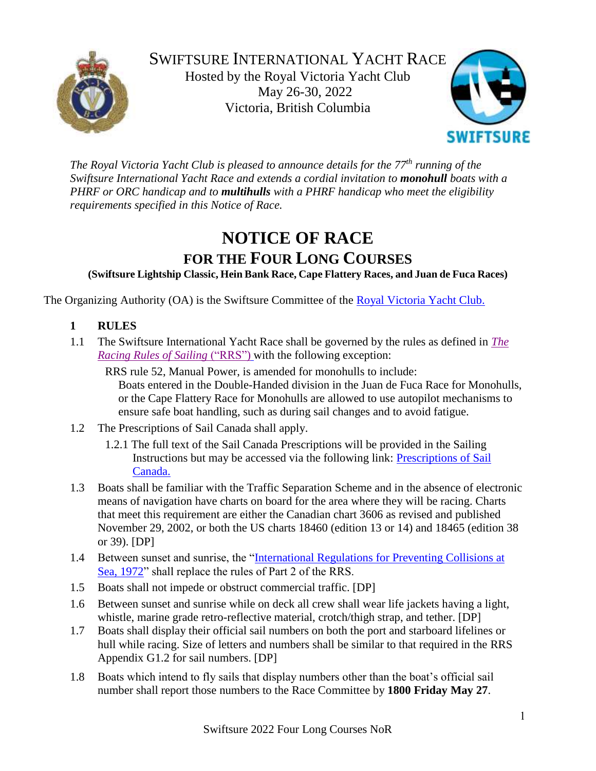



*The Royal Victoria Yacht Club is pleased to announce details for the 77th running of the Swiftsure International Yacht Race and extends a cordial invitation to monohull boats with a PHRF or ORC handicap and to multihulls with a PHRF handicap who meet the eligibility requirements specified in this Notice of Race.*

# **NOTICE OF RACE**

**FOR THE FOUR LONG COURSES**

**(Swiftsure Lightship Classic, Hein Bank Race, Cape Flattery Races, and Juan de Fuca Races)**

The Organizing Authority (OA) is the Swiftsure Committee of the [Royal Victoria Yacht Club.](http://www.rvyc.bc.ca/)

- **1 RULES**
- 1.1 The Swiftsure International Yacht Race shall be governed by the rules as defined in *[The](https://www.sailing.org/tools/documents/WSRRS20212024FinalwithChgsandCorrecns201113-%5b26798%5d.pdf)  [Racing Rules of Sailing](https://www.sailing.org/tools/documents/WSRRS20212024FinalwithChgsandCorrecns201113-%5b26798%5d.pdf)* ("RRS") with the following exception:

RRS rule 52, Manual Power, is amended for monohulls to include: Boats entered in the Double-Handed division in the Juan de Fuca Race for Monohulls, or the Cape Flattery Race for Monohulls are allowed to use autopilot mechanisms to ensure safe boat handling, such as during sail changes and to avoid fatigue.

- 1.2 The Prescriptions of Sail Canada shall apply.
	- 1.2.1 The full text of the Sail Canada Prescriptions will be provided in the Sailing Instructions but may be accessed via the following link: Prescriptions of Sail [Canada.](http://www.sailing.ca/files/RRS_2017_2020_Sail_Canada_Prescription_Final_EN.pdf)
- 1.3 Boats shall be familiar with the Traffic Separation Scheme and in the absence of electronic means of navigation have charts on board for the area where they will be racing. Charts that meet this requirement are either the Canadian chart 3606 as revised and published November 29, 2002, or both the US charts 18460 (edition 13 or 14) and 18465 (edition 38 or 39). [DP]
- 1.4 Between sunset and sunrise, the ["International Regulations for Preventing Collisions at](http://www.laws-lois.justice.gc.ca/PDF/C.R.C.,_c._1416.pdf)  [Sea, 1972"](http://www.laws-lois.justice.gc.ca/PDF/C.R.C.,_c._1416.pdf) shall replace the rules of Part 2 of the RRS.
- 1.5 Boats shall not impede or obstruct commercial traffic. [DP]
- 1.6 Between sunset and sunrise while on deck all crew shall wear life jackets having a light, whistle, marine grade retro-reflective material, crotch/thigh strap, and tether. [DP]
- 1.7 Boats shall display their official sail numbers on both the port and starboard lifelines or hull while racing. Size of letters and numbers shall be similar to that required in the RRS Appendix G1.2 for sail numbers. [DP]
- 1.8 Boats which intend to fly sails that display numbers other than the boat's official sail number shall report those numbers to the Race Committee by **1800 Friday May 27**.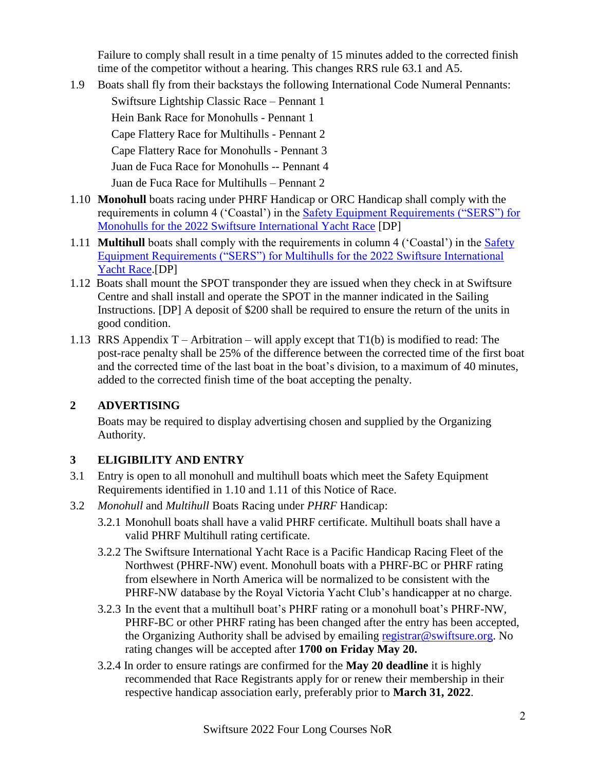Failure to comply shall result in a time penalty of 15 minutes added to the corrected finish time of the competitor without a hearing. This changes RRS rule 63.1 and A5.

1.9 Boats shall fly from their backstays the following International Code Numeral Pennants:

Swiftsure Lightship Classic Race – Pennant 1

Hein Bank Race for Monohulls - Pennant 1

Cape Flattery Race for Multihulls - Pennant 2

Cape Flattery Race for Monohulls - Pennant 3

Juan de Fuca Race for Monohulls -- Pennant 4

Juan de Fuca Race for Multihulls – Pennant 2

- 1.10 **Monohull** boats racing under PHRF Handicap or ORC Handicap shall comply with the requirements in column 4 ('Coastal') in the **Safety Equipment Requirements (**"SERS") for [Monohulls for the 2022 Swiftsure International Yacht Race](https://www.swiftsure.org/wp-content/uploads/2022/02/Monohull-Safety-Equipment-Requirements-for-the-2022-Swiftsure-International-Yacht-Race.pdf) [DP]
- 1.11 **Multihull** boats shall comply with the requirements in column 4 ('Coastal') in the [Safety](https://www.swiftsure.org/wp-content/uploads/2022/02/Multihull-Safety-Equipment-Requirements-for-the-2022-Swiftsure-International-Yacht-Race-final.pdf)  [Equipment Requirements \("SERS"\) for Multihulls for the 2022 Swiftsure International](https://www.swiftsure.org/wp-content/uploads/2022/02/Multihull-Safety-Equipment-Requirements-for-the-2022-Swiftsure-International-Yacht-Race-final.pdf)  [Yacht Race.](https://www.swiftsure.org/wp-content/uploads/2022/02/Multihull-Safety-Equipment-Requirements-for-the-2022-Swiftsure-International-Yacht-Race-final.pdf)[DP]
- 1.12 Boats shall mount the SPOT transponder they are issued when they check in at Swiftsure Centre and shall install and operate the SPOT in the manner indicated in the Sailing Instructions. [DP] A deposit of \$200 shall be required to ensure the return of the units in good condition.
- 1.13 RRS Appendix  $T -$  Arbitration will apply except that  $T1(b)$  is modified to read: The post-race penalty shall be 25% of the difference between the corrected time of the first boat and the corrected time of the last boat in the boat's division, to a maximum of 40 minutes, added to the corrected finish time of the boat accepting the penalty.

# **2 ADVERTISING**

Boats may be required to display advertising chosen and supplied by the Organizing Authority.

# **3 ELIGIBILITY AND ENTRY**

- 3.1 Entry is open to all monohull and multihull boats which meet the Safety Equipment Requirements identified in 1.10 and 1.11 of this Notice of Race.
- 3.2 *Monohull* and *Multihull* Boats Racing under *PHRF* Handicap:
	- 3.2.1 Monohull boats shall have a valid PHRF certificate. Multihull boats shall have a valid PHRF Multihull rating certificate.
	- 3.2.2 The Swiftsure International Yacht Race is a Pacific Handicap Racing Fleet of the Northwest (PHRF-NW) event. Monohull boats with a PHRF-BC or PHRF rating from elsewhere in North America will be normalized to be consistent with the PHRF-NW database by the Royal Victoria Yacht Club's handicapper at no charge.
	- 3.2.3 In the event that a multihull boat's PHRF rating or a monohull boat's PHRF-NW, PHRF-BC or other PHRF rating has been changed after the entry has been accepted, the Organizing Authority shall be advised by emailing [registrar@swiftsure.org.](mailto:registrar@swiftsure.org) No rating changes will be accepted after **1700 on Friday May 20.**
	- 3.2.4 In order to ensure ratings are confirmed for the **May 20 deadline** it is highly recommended that Race Registrants apply for or renew their membership in their respective handicap association early, preferably prior to **March 31, 2022**.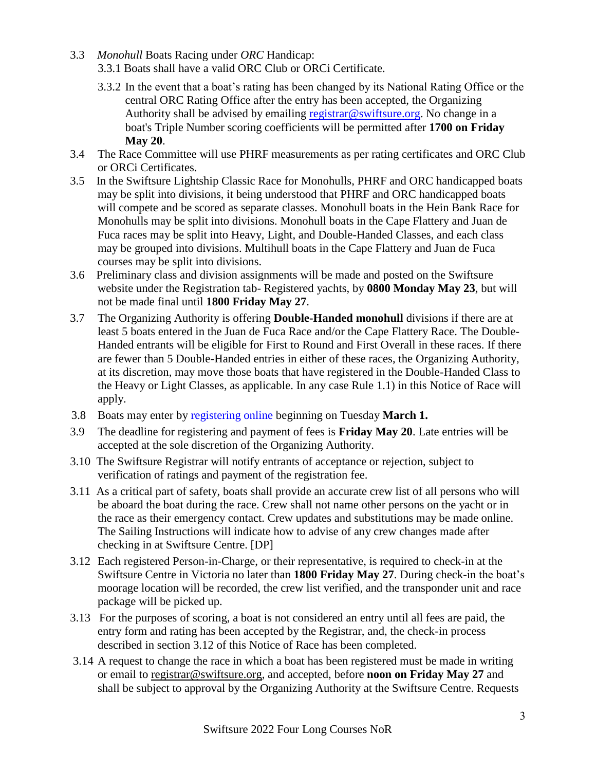- 3.3 *Monohull* Boats Racing under *ORC* Handicap: 3.3.1 Boats shall have a valid ORC Club or ORCi Certificate.
	- 3.3.2 In the event that a boat's rating has been changed by its National Rating Office or the central ORC Rating Office after the entry has been accepted, the Organizing Authority shall be advised by emailing [registrar@swiftsure.org.](mailto:registrar@swiftsure.org) No change in a boat's Triple Number scoring coefficients will be permitted after **1700 on Friday May 20**.
- 3.4 The Race Committee will use PHRF measurements as per rating certificates and ORC Club or ORCi Certificates.
- 3.5 In the Swiftsure Lightship Classic Race for Monohulls, PHRF and ORC handicapped boats may be split into divisions, it being understood that PHRF and ORC handicapped boats will compete and be scored as separate classes. Monohull boats in the Hein Bank Race for Monohulls may be split into divisions. Monohull boats in the Cape Flattery and Juan de Fuca races may be split into Heavy, Light, and Double-Handed Classes, and each class may be grouped into divisions. Multihull boats in the Cape Flattery and Juan de Fuca courses may be split into divisions.
- 3.6 Preliminary class and division assignments will be made and posted on the Swiftsure website under the Registration tab- Registered yachts, by **0800 Monday May 23**, but will not be made final until **1800 Friday May 27**.
- 3.7 The Organizing Authority is offering **Double-Handed monohull** divisions if there are at least 5 boats entered in the Juan de Fuca Race and/or the Cape Flattery Race. The Double-Handed entrants will be eligible for First to Round and First Overall in these races. If there are fewer than 5 Double-Handed entries in either of these races, the Organizing Authority, at its discretion, may move those boats that have registered in the Double-Handed Class to the Heavy or Light Classes, as applicable. In any case Rule 1.1) in this Notice of Race will apply.
- 3.8 Boats may enter by [registering online](http://www.swiftsure.org/registration/) beginning on Tuesday **March 1.**
- 3.9 The deadline for registering and payment of fees is **Friday May 20**. Late entries will be accepted at the sole discretion of the Organizing Authority.
- 3.10 The Swiftsure Registrar will notify entrants of acceptance or rejection, subject to verification of ratings and payment of the registration fee.
- 3.11 As a critical part of safety, boats shall provide an accurate crew list of all persons who will be aboard the boat during the race. Crew shall not name other persons on the yacht or in the race as their emergency contact. Crew updates and substitutions may be made online. The Sailing Instructions will indicate how to advise of any crew changes made after checking in at Swiftsure Centre. [DP]
- 3.12 Each registered Person-in-Charge, or their representative, is required to check-in at the Swiftsure Centre in Victoria no later than **1800 Friday May 27**. During check-in the boat's moorage location will be recorded, the crew list verified, and the transponder unit and race package will be picked up.
- 3.13 For the purposes of scoring, a boat is not considered an entry until all fees are paid, the entry form and rating has been accepted by the Registrar, and, the check-in process described in section 3.12 of this Notice of Race has been completed.
- 3.14 A request to change the race in which a boat has been registered must be made in writing or email to [registrar@swiftsure.org,](mailto:registrar@swiftsure.org) and accepted, before **noon on Friday May 27** and shall be subject to approval by the Organizing Authority at the Swiftsure Centre. Requests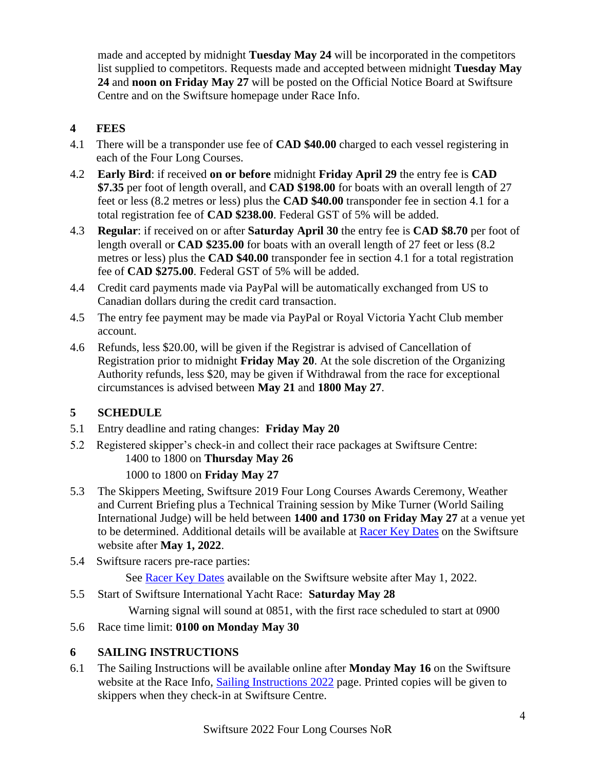made and accepted by midnight **Tuesday May 24** will be incorporated in the competitors list supplied to competitors. Requests made and accepted between midnight **Tuesday May 24** and **noon on Friday May 27** will be posted on the Official Notice Board at Swiftsure Centre and on the Swiftsure homepage under Race Info.

# **4 FEES**

- 4.1 There will be a transponder use fee of **CAD \$40.00** charged to each vessel registering in each of the Four Long Courses.
- 4.2 **Early Bird**: if received **on or before** midnight **Friday April 29** the entry fee is **CAD \$7.35** per foot of length overall, and **CAD \$198.00** for boats with an overall length of 27 feet or less (8.2 metres or less) plus the **CAD \$40.00** transponder fee in section 4.1 for a total registration fee of **CAD \$238.00**. Federal GST of 5% will be added.
- 4.3 **Regular**: if received on or after **Saturday April 30** the entry fee is **CAD \$8.70** per foot of length overall or **CAD \$235.00** for boats with an overall length of 27 feet or less (8.2 metres or less) plus the **CAD \$40.00** transponder fee in section 4.1 for a total registration fee of **CAD \$275.00**. Federal GST of 5% will be added.
- 4.4 Credit card payments made via PayPal will be automatically exchanged from US to Canadian dollars during the credit card transaction.
- 4.5 The entry fee payment may be made via PayPal or Royal Victoria Yacht Club member account.
- 4.6 Refunds, less \$20.00, will be given if the Registrar is advised of Cancellation of Registration prior to midnight **Friday May 20**. At the sole discretion of the Organizing Authority refunds, less \$20, may be given if Withdrawal from the race for exceptional circumstances is advised between **May 21** and **1800 May 27**.

# **5 SCHEDULE**

- 5.1 Entry deadline and rating changes: **Friday May 20**
- 5.2 Registered skipper's check-in and collect their race packages at Swiftsure Centre: 1400 to 1800 on **Thursday May 26**

#### 1000 to 1800 on **Friday May 27**

- 5.3 The Skippers Meeting, Swiftsure 2019 Four Long Courses Awards Ceremony, Weather and Current Briefing plus a Technical Training session by Mike Turner (World Sailing International Judge) will be held between **1400 and 1730 on Friday May 27** at a venue yet to be determined. Additional details will be available at [Racer Key Dates](http://www.swiftsure.org/race-key-dates/) on the Swiftsure website after **May 1, 2022**.
- 5.4 Swiftsure racers pre-race parties:

See [Racer Key Dates](http://www.swiftsure.org/race-key-dates/) available on the Swiftsure website after May 1, 2022.

5.5 Start of Swiftsure International Yacht Race: **Saturday May 28**

Warning signal will sound at 0851, with the first race scheduled to start at 0900

5.6 Race time limit: **0100 on Monday May 30**

# **6 SAILING INSTRUCTIONS**

6.1 The Sailing Instructions will be available online after **Monday May 16** on the Swiftsure website at the Race Info, [Sailing Instructions 2022](http://www.swiftsure.org/sailing-instructions/) page. Printed copies will be given to skippers when they check-in at Swiftsure Centre.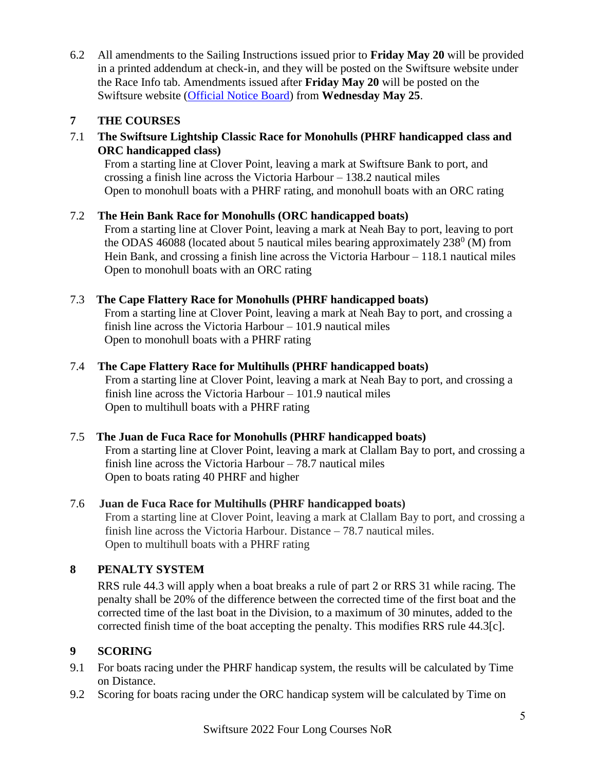6.2 All amendments to the Sailing Instructions issued prior to **Friday May 20** will be provided in a printed addendum at check-in, and they will be posted on the Swiftsure website under the Race Info tab. Amendments issued after **Friday May 20** will be posted on the Swiftsure website [\(Official Notice Board\)](http://www.swiftsure.org/official-notice-board/) from **Wednesday May 25**.

# **7 THE COURSES**

7.1 **The Swiftsure Lightship Classic Race for Monohulls (PHRF handicapped class and ORC handicapped class)** 

From a starting line at Clover Point, leaving a mark at Swiftsure Bank to port, and crossing a finish line across the Victoria Harbour – 138.2 nautical miles Open to monohull boats with a PHRF rating, and monohull boats with an ORC rating

#### 7.2 **The Hein Bank Race for Monohulls (ORC handicapped boats)**

From a starting line at Clover Point, leaving a mark at Neah Bay to port, leaving to port the ODAS 46088 (located about 5 nautical miles bearing approximately  $238^{\circ}$  (M) from Hein Bank, and crossing a finish line across the Victoria Harbour – 118.1 nautical miles Open to monohull boats with an ORC rating

#### 7.3 **The Cape Flattery Race for Monohulls (PHRF handicapped boats)**

From a starting line at Clover Point, leaving a mark at Neah Bay to port, and crossing a finish line across the Victoria Harbour – 101.9 nautical miles Open to monohull boats with a PHRF rating

#### 7.4 **The Cape Flattery Race for Multihulls (PHRF handicapped boats)**

From a starting line at Clover Point, leaving a mark at Neah Bay to port, and crossing a finish line across the Victoria Harbour – 101.9 nautical miles Open to multihull boats with a PHRF rating

#### 7.5 **The Juan de Fuca Race for Monohulls (PHRF handicapped boats)**

From a starting line at Clover Point, leaving a mark at Clallam Bay to port, and crossing a finish line across the Victoria Harbour – 78.7 nautical miles Open to boats rating 40 PHRF and higher

#### 7.6 **Juan de Fuca Race for Multihulls (PHRF handicapped boats)**

From a starting line at Clover Point, leaving a mark at Clallam Bay to port, and crossing a finish line across the Victoria Harbour. Distance – 78.7 nautical miles. Open to multihull boats with a PHRF rating

## **8 PENALTY SYSTEM**

RRS rule 44.3 will apply when a boat breaks a rule of part 2 or RRS 31 while racing. The penalty shall be 20% of the difference between the corrected time of the first boat and the corrected time of the last boat in the Division, to a maximum of 30 minutes, added to the corrected finish time of the boat accepting the penalty. This modifies RRS rule 44.3[c].

#### **9 SCORING**

- 9.1 For boats racing under the PHRF handicap system, the results will be calculated by Time on Distance.
- 9.2 Scoring for boats racing under the ORC handicap system will be calculated by Time on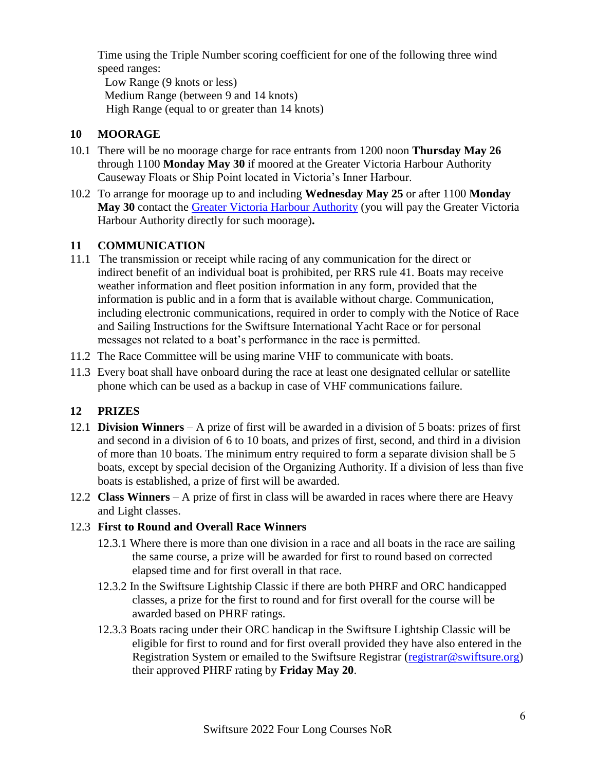Time using the Triple Number scoring coefficient for one of the following three wind speed ranges:

Low Range (9 knots or less) Medium Range (between 9 and 14 knots) High Range (equal to or greater than 14 knots)

## **10 MOORAGE**

- 10.1 There will be no moorage charge for race entrants from 1200 noon **Thursday May 26** through 1100 **Monday May 30** if moored at the Greater Victoria Harbour Authority Causeway Floats or Ship Point located in Victoria's Inner Harbour.
- 10.2 To arrange for moorage up to and including **Wednesday May 25** or after 1100 **Monday May 30** contact the Greater Victoria [Harbour Authority](http://www.gvha.ca/marinas-facilities/marinas) (you will pay the Greater Victoria Harbour Authority directly for such moorage)**.**

## **11 COMMUNICATION**

- 11.1 The transmission or receipt while racing of any communication for the direct or indirect benefit of an individual boat is prohibited, per RRS rule 41. Boats may receive weather information and fleet position information in any form, provided that the information is public and in a form that is available without charge. Communication, including electronic communications, required in order to comply with the Notice of Race and Sailing Instructions for the Swiftsure International Yacht Race or for personal messages not related to a boat's performance in the race is permitted.
- 11.2 The Race Committee will be using marine VHF to communicate with boats.
- 11.3 Every boat shall have onboard during the race at least one designated cellular or satellite phone which can be used as a backup in case of VHF communications failure.

# **12 PRIZES**

- 12.1 **Division Winners** A prize of first will be awarded in a division of 5 boats: prizes of first and second in a division of 6 to 10 boats, and prizes of first, second, and third in a division of more than 10 boats. The minimum entry required to form a separate division shall be 5 boats, except by special decision of the Organizing Authority. If a division of less than five boats is established, a prize of first will be awarded.
- 12.2 **Class Winners**  A prize of first in class will be awarded in races where there are Heavy and Light classes.

# 12.3 **First to Round and Overall Race Winners**

- 12.3.1 Where there is more than one division in a race and all boats in the race are sailing the same course, a prize will be awarded for first to round based on corrected elapsed time and for first overall in that race.
- 12.3.2 In the Swiftsure Lightship Classic if there are both PHRF and ORC handicapped classes, a prize for the first to round and for first overall for the course will be awarded based on PHRF ratings.
- 12.3.3 Boats racing under their ORC handicap in the Swiftsure Lightship Classic will be eligible for first to round and for first overall provided they have also entered in the Registration System or emailed to the Swiftsure Registrar [\(registrar@swiftsure.org\)](mailto:registrar@swiftsure.org) their approved PHRF rating by **Friday May 20**.